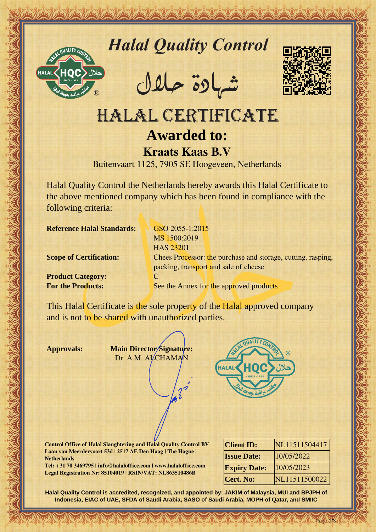

# *Halal Quality Control*

REACTOR AND THE REAL PROPERTY OF THE REAL PROPERTY

�شهادة حالل



## HALAL CERTIFICATE **Awarded to: Kraats Kaas B.V**

Buitenvaart 1125, 7905 SE Hoogeveen, Netherlands

Halal Quality Control the Netherlands hereby awards this Halal Certificate to the above mentioned company which has been found in compliance with the following criteria:

**Reference Halal Standards:** GSO 2055-1:2015

**Product Category:** C

Hallal Quality Control exception of the Control exception of the CATE<br>
MALAL CERTIFICATE<br>
Awarded to:<br>
Mark LAL CERTIFICATE<br>
Exception of the choice is a stress for the state of the state of the state of the state of the s MS 1500:2019 HAS 23201 **Scope of Certification:** Chees Processor: the purchase and storage, cutting, rasping, packing, transport and sale of cheese **For the Products:** See the Annex for the approved products

This Halal Certificate is the sole property of the Halal approved company and is not to be shared with unauthorized parties.

**Approvals: Main Director Signature:** Dr. A.M. ALCHAMAN



**Control Office of Halal Slaughtering and Halal Quality Control BV Laan van Meerdervoort 53d | 2517 AE Den Haag | The Hague | Netherlands**

**Tel: +31 70 3469795 | info@halaloffice.com | www.halaloffice.com Legal Registration Nr: 85104019 | RSIN/VAT: NL863510486B**

| <b>Client ID:</b>   | NL11511504417 |
|---------------------|---------------|
| <b>Issue Date:</b>  | 10/05/2022    |
| <b>Expiry Date:</b> | 10/05/2023    |
| <b>Cert. No:</b>    | NL11511500022 |

Page 1/3

**Halal Quality Control is accredited, recognized, and appointed by: JAKIM of Malaysia, MUI and BPJPH of Indonesia, EIAC of UAE, SFDA of Saudi Arabia, SASO of Saudi Arabia, MOPH of Qatar, and SMIIC**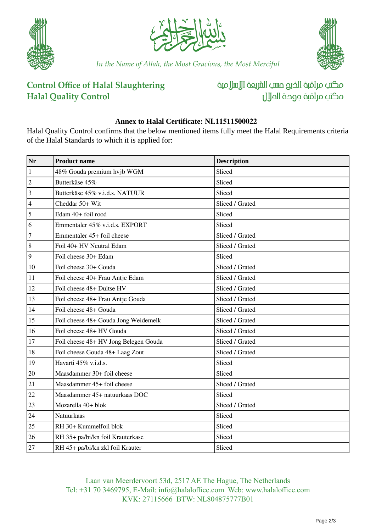





*In the Name of Allah, the Most Gracious, the Most Merciful*

#### **Control Office of Halal Slaughtering Halal Quality Control**

مكتب مراقبة الذبم صسب الشريعة الإسلامية مكتب مراقبة جودة المال

#### **Annex to Halal Certificate: NL11511500022**

Halal Quality Control confirms that the below mentioned items fully meet the Halal Requirements criteria of the Halal Standards to which it is applied for:

| Nr             | <b>Product name</b>                   | <b>Description</b> |
|----------------|---------------------------------------|--------------------|
| $\vert$ 1      | 48% Gouda premium hvjb WGM            | Sliced             |
| $\frac{2}{3}$  | Butterkäse 45%                        | Sliced             |
|                | Butterkäse 45% v.i.d.s. NATUUR        | Sliced             |
| $\frac{4}{5}$  | Cheddar 50+ Wit                       | Sliced / Grated    |
|                | Edam 40+ foil rood                    | Sliced             |
| $\overline{6}$ | Emmentaler 45% v.i.d.s. EXPORT        | Sliced             |
| $\sqrt{7}$     | Emmentaler 45+ foil cheese            | Sliced / Grated    |
| $\sqrt{8}$     | Foil 40+ HV Neutral Edam              | Sliced / Grated    |
| $\sqrt{9}$     | Foil cheese 30+ Edam                  | Sliced             |
| $\boxed{10}$   | Foil cheese 30+ Gouda                 | Sliced / Grated    |
| 11             | Foil cheese 40+ Frau Antje Edam       | Sliced / Grated    |
| <sup>12</sup>  | Foil cheese 48+ Duitse HV             | Sliced / Grated    |
| 13             | Foil cheese 48+ Frau Antje Gouda      | Sliced / Grated    |
| 14             | Foil cheese 48+ Gouda                 | Sliced / Grated    |
| <sup>15</sup>  | Foil cheese 48+ Gouda Jong Weidemelk  | Sliced / Grated    |
| 16             | Foil cheese 48+ HV Gouda              | Sliced / Grated    |
| 17             | Foil cheese 48+ HV Jong Belegen Gouda | Sliced / Grated    |
| 18             | Foil cheese Gouda 48+ Laag Zout       | Sliced / Grated    |
| 19             | Havarti 45% v.i.d.s.                  | Sliced             |
| 20             | Maasdammer 30+ foil cheese            | Sliced             |
| 21             | Maasdammer 45+ foil cheese            | Sliced / Grated    |
| 22             | Maasdammer 45+ natuurkaas DOC         | Sliced             |
| $\sqrt{23}$    | Mozarella 40+ blok                    | Sliced / Grated    |
| 24             | Natuurkaas                            | Sliced             |
| $\sqrt{25}$    | RH 30+ Kummelfoil blok                | Sliced             |
| 26             | RH 35+ pa/bi/kn foil Krauterkase      | Sliced             |
| $\sqrt{27}$    | RH 45+ pa/bi/kn zkl foil Krauter      | Sliced             |

Laan van Meerdervoort 53d, 2517 AE The Hague, The Netherlands Tel: +31 70 3469795, E-Mail: info@halaloffice.com Web: www.halaloffice.com KVK: 27115666 BTW: NL804875777B01